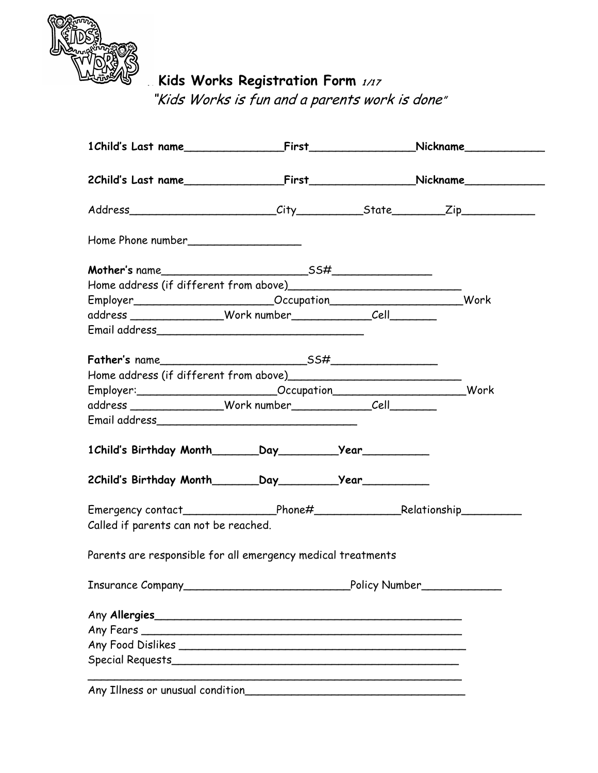

 **Kids Works Registration Form** 1/17

"Kids Works is fun and a parents work is done"

| Employer__________________________Occupation____________________________Work                                                                                                                                                        |  |  |
|-------------------------------------------------------------------------------------------------------------------------------------------------------------------------------------------------------------------------------------|--|--|
|                                                                                                                                                                                                                                     |  |  |
|                                                                                                                                                                                                                                     |  |  |
|                                                                                                                                                                                                                                     |  |  |
|                                                                                                                                                                                                                                     |  |  |
| Employer: Work Cocupation Communication                                                                                                                                                                                             |  |  |
|                                                                                                                                                                                                                                     |  |  |
| Email address <b>contracts</b> to the contract of the contract of the contract of the contract of the contract of the contract of the contract of the contract of the contract of the contract of the contract of the contract of t |  |  |
|                                                                                                                                                                                                                                     |  |  |
|                                                                                                                                                                                                                                     |  |  |
| Emergency contact______________________Phone#___________________________________                                                                                                                                                    |  |  |
| Called if parents can not be reached.                                                                                                                                                                                               |  |  |
| Parents are responsible for all emergency medical treatments                                                                                                                                                                        |  |  |
|                                                                                                                                                                                                                                     |  |  |
| Any Allergies                                                                                                                                                                                                                       |  |  |
|                                                                                                                                                                                                                                     |  |  |
|                                                                                                                                                                                                                                     |  |  |
|                                                                                                                                                                                                                                     |  |  |
|                                                                                                                                                                                                                                     |  |  |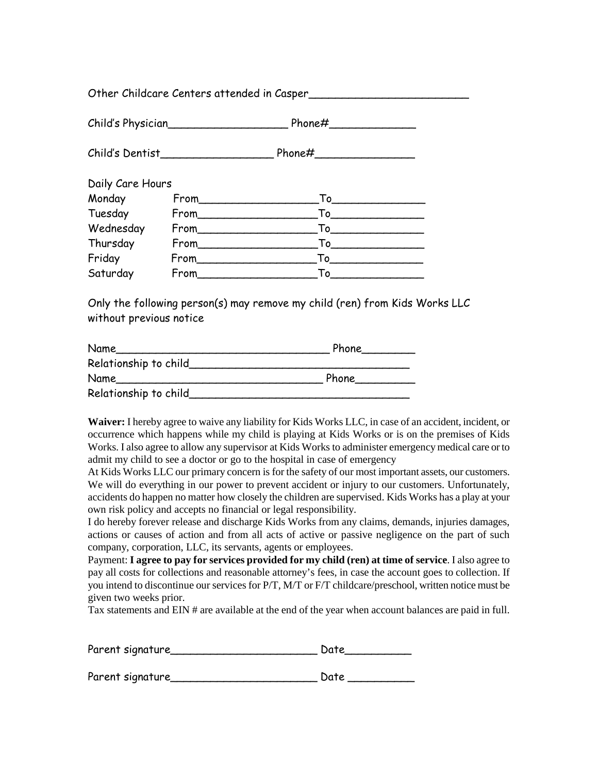Other Childcare Centers attended in Casper\_\_\_\_\_\_\_\_\_\_\_\_\_\_\_\_\_\_\_\_\_\_\_\_ Child's Physician\_\_\_\_\_\_\_\_\_\_\_\_\_\_\_\_\_\_ Phone#\_\_\_\_\_\_\_\_\_\_\_\_\_ Child's Dentist\_\_\_\_\_\_\_\_\_\_\_\_\_\_\_\_\_ Phone#\_\_\_\_\_\_\_\_\_\_\_\_\_\_\_ Daily Care Hours Monday From\_\_\_\_\_\_\_\_\_\_\_\_\_\_\_\_\_\_To\_\_\_\_\_\_\_\_\_\_\_\_\_\_ Tuesday From To Wednesday From\_\_\_\_\_\_\_\_\_\_\_\_\_\_\_\_\_\_To\_\_\_\_\_\_\_\_\_\_\_\_\_\_ Thursday From\_\_\_\_\_\_\_\_\_\_\_\_\_\_\_\_\_\_To\_\_\_\_\_\_\_\_\_\_\_\_\_\_ Friday From\_\_\_\_\_\_\_\_\_\_\_\_\_\_\_\_\_\_To\_\_\_\_\_\_\_\_\_\_\_\_\_\_ Saturday From To

Only the following person(s) may remove my child (ren) from Kids Works LLC without previous notice

| Name                  | Phone |
|-----------------------|-------|
| Relationship to child |       |
| Name                  | Phone |
| Relationship to child |       |

**Waiver:** I hereby agree to waive any liability for Kids Works LLC, in case of an accident, incident, or occurrence which happens while my child is playing at Kids Works or is on the premises of Kids Works. I also agree to allow any supervisor at Kids Works to administer emergency medical care or to admit my child to see a doctor or go to the hospital in case of emergency

At Kids Works LLC our primary concern is for the safety of our most important assets, our customers. We will do everything in our power to prevent accident or injury to our customers. Unfortunately, accidents do happen no matter how closely the children are supervised. Kids Works has a play at your own risk policy and accepts no financial or legal responsibility.

I do hereby forever release and discharge Kids Works from any claims, demands, injuries damages, actions or causes of action and from all acts of active or passive negligence on the part of such company, corporation, LLC, its servants, agents or employees.

Payment: **I agree to pay for services provided for my child (ren) at time of service**. I also agree to pay all costs for collections and reasonable attorney's fees, in case the account goes to collection. If you intend to discontinue our services for P/T, M/T or F/T childcare/preschool, written notice must be given two weeks prior.

Tax statements and EIN # are available at the end of the year when account balances are paid in full.

| Parent signature | Date |  |  |
|------------------|------|--|--|
| Parent signature | Date |  |  |